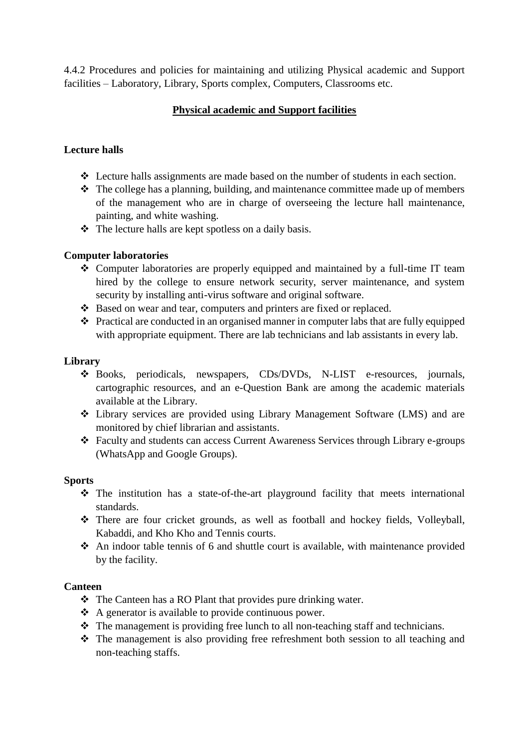4.4.2 Procedures and policies for maintaining and utilizing Physical academic and Support facilities – Laboratory, Library, Sports complex, Computers, Classrooms etc.

# **Physical academic and Support facilities**

## **Lecture halls**

- Lecture halls assignments are made based on the number of students in each section.
- $\triangle$  The college has a planning, building, and maintenance committee made up of members of the management who are in charge of overseeing the lecture hall maintenance, painting, and white washing.
- $\triangle$  The lecture halls are kept spotless on a daily basis.

#### **Computer laboratories**

- Computer laboratories are properly equipped and maintained by a full-time IT team hired by the college to ensure network security, server maintenance, and system security by installing anti-virus software and original software.
- Based on wear and tear, computers and printers are fixed or replaced.
- Practical are conducted in an organised manner in computer labs that are fully equipped with appropriate equipment. There are lab technicians and lab assistants in every lab.

#### **Library**

- Books, periodicals, newspapers, CDs/DVDs, N-LIST e-resources, journals, cartographic resources, and an e-Question Bank are among the academic materials available at the Library.
- Library services are provided using Library Management Software (LMS) and are monitored by chief librarian and assistants.
- Faculty and students can access Current Awareness Services through Library e-groups (WhatsApp and Google Groups).

#### **Sports**

- $\hat{\mathbf{v}}$  The institution has a state-of-the-art playground facility that meets international standards.
- There are four cricket grounds, as well as football and hockey fields, Volleyball, Kabaddi, and Kho Kho and Tennis courts.
- An indoor table tennis of 6 and shuttle court is available, with maintenance provided by the facility.

#### **Canteen**

- $\triangle$  The Canteen has a RO Plant that provides pure drinking water.
- $\triangle$  A generator is available to provide continuous power.
- The management is providing free lunch to all non-teaching staff and technicians.
- The management is also providing free refreshment both session to all teaching and non-teaching staffs.